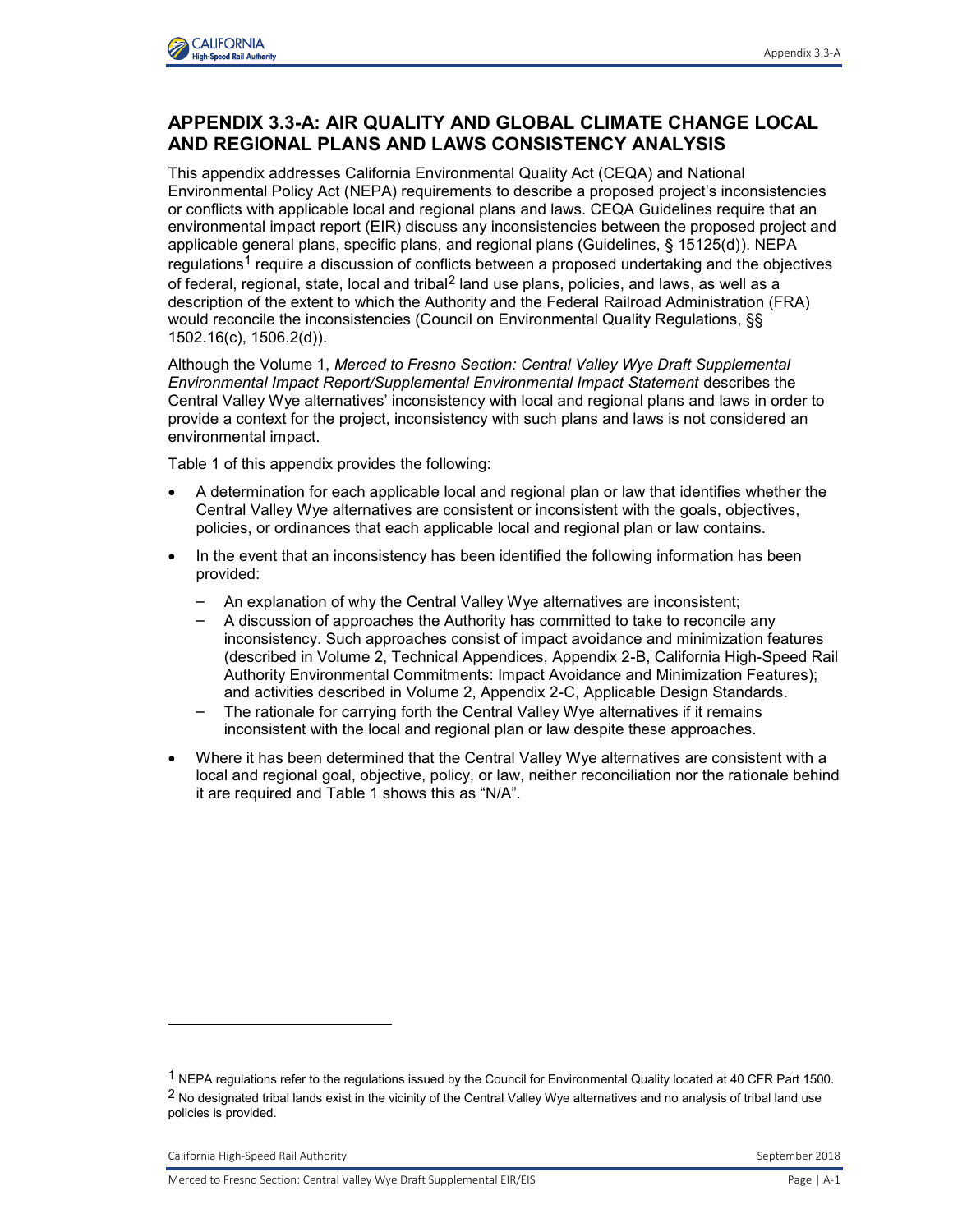

## **APPENDIX 3.3-A: AIR QUALITY AND GLOBAL CLIMATE CHANGE LOCAL AND REGIONAL PLANS AND LAWS CONSISTENCY ANALYSIS**

This appendix addresses California Environmental Quality Act (CEQA) and National Environmental Policy Act (NEPA) requirements to describe a proposed project's inconsistencies or conflicts with applicable local and regional plans and laws. CEQA Guidelines require that an environmental impact report (EIR) discuss any inconsistencies between the proposed project and applicable general plans, specific plans, and regional plans (Guidelines, § 15125(d)). NEPA regulations<sup>1</sup> require a discussion of conflicts between a proposed undertaking and the objectives of federal, regional, state, local and tribal<sup>2</sup> land use plans, policies, and laws, as well as a description of the extent to which the Authority and the Federal Railroad Administration (FRA) would reconcile the inconsistencies (Council on Environmental Quality Regulations, §§ 1502.16(c), 1506.2(d)).

Although the Volume 1, *Merced to Fresno Section: Central Valley Wye Draft Supplemental Environmental Impact Report/Supplemental Environmental Impact Statement* describes the Central Valley Wye alternatives' inconsistency with local and regional plans and laws in order to provide a context for the project, inconsistency with such plans and laws is not considered an environmental impact.

Table 1 of this appendix provides the following:

- A determination for each applicable local and regional plan or law that identifies whether the Central Valley Wye alternatives are consistent or inconsistent with the goals, objectives, policies, or ordinances that each applicable local and regional plan or law contains.
- In the event that an inconsistency has been identified the following information has been provided:
	- An explanation of why the Central Valley Wye alternatives are inconsistent;
	- A discussion of approaches the Authority has committed to take to reconcile any inconsistency. Such approaches consist of impact avoidance and minimization features (described in Volume 2, Technical Appendices, Appendix 2-B, California High-Speed Rail Authority Environmental Commitments: Impact Avoidance and Minimization Features); and activities described in Volume 2, Appendix 2-C, Applicable Design Standards.
	- The rationale for carrying forth the Central Valley Wye alternatives if it remains inconsistent with the local and regional plan or law despite these approaches.
- Where it has been determined that the Central Valley Wye alternatives are consistent with a local and regional goal, objective, policy, or law, neither reconciliation nor the rationale behind it are required and Table 1 shows this as "N/A".

-

<sup>1</sup> NEPA regulations refer to the regulations issued by the Council for Environmental Quality located at 40 CFR Part 1500. <sup>2</sup> No designated tribal lands exist in the vicinity of the Central Valley Wye alternatives and no analysis of tribal land use policies is provided.

California High-Speed Rail Authority September 2018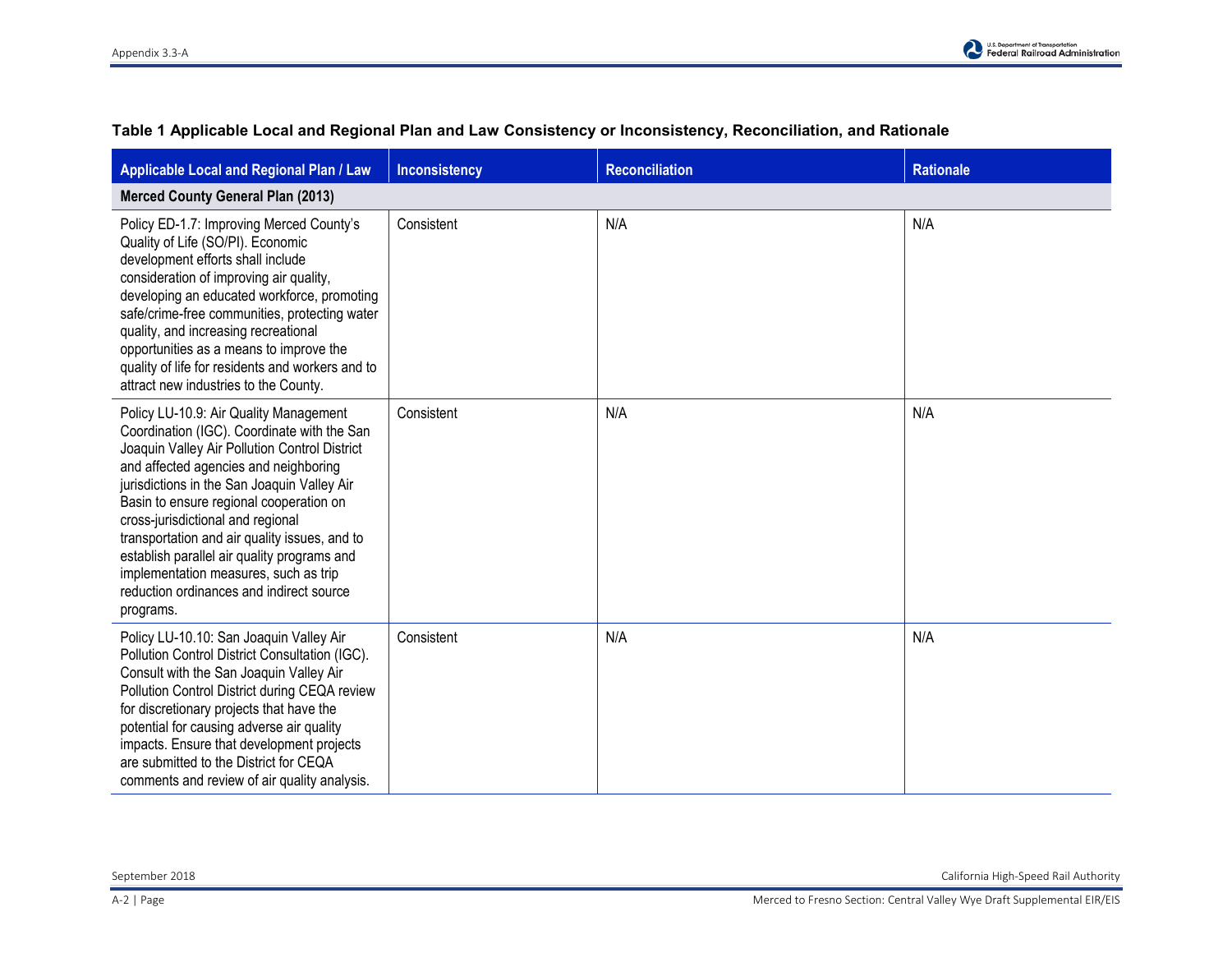| Applicable Local and Regional Plan / Law                                                                                                                                                                                                                                                                                                                                                                                                                                                                         | <b>Inconsistency</b> | <b>Reconciliation</b> | <b>Rationale</b> |  |
|------------------------------------------------------------------------------------------------------------------------------------------------------------------------------------------------------------------------------------------------------------------------------------------------------------------------------------------------------------------------------------------------------------------------------------------------------------------------------------------------------------------|----------------------|-----------------------|------------------|--|
| <b>Merced County General Plan (2013)</b>                                                                                                                                                                                                                                                                                                                                                                                                                                                                         |                      |                       |                  |  |
| Policy ED-1.7: Improving Merced County's<br>Quality of Life (SO/PI). Economic<br>development efforts shall include<br>consideration of improving air quality,<br>developing an educated workforce, promoting<br>safe/crime-free communities, protecting water<br>quality, and increasing recreational<br>opportunities as a means to improve the<br>quality of life for residents and workers and to<br>attract new industries to the County.                                                                    | Consistent           | N/A                   | N/A              |  |
| Policy LU-10.9: Air Quality Management<br>Coordination (IGC). Coordinate with the San<br>Joaquin Valley Air Pollution Control District<br>and affected agencies and neighboring<br>jurisdictions in the San Joaquin Valley Air<br>Basin to ensure regional cooperation on<br>cross-jurisdictional and regional<br>transportation and air quality issues, and to<br>establish parallel air quality programs and<br>implementation measures, such as trip<br>reduction ordinances and indirect source<br>programs. | Consistent           | N/A                   | N/A              |  |
| Policy LU-10.10: San Joaquin Valley Air<br>Pollution Control District Consultation (IGC).<br>Consult with the San Joaquin Valley Air<br>Pollution Control District during CEQA review<br>for discretionary projects that have the<br>potential for causing adverse air quality<br>impacts. Ensure that development projects<br>are submitted to the District for CEQA<br>comments and review of air quality analysis.                                                                                            | Consistent           | N/A                   | N/A              |  |

## **Table 1 Applicable Local and Regional Plan and Law Consistency or Inconsistency, Reconciliation, and Rationale**

September 2018 California High-Speed Rail Authority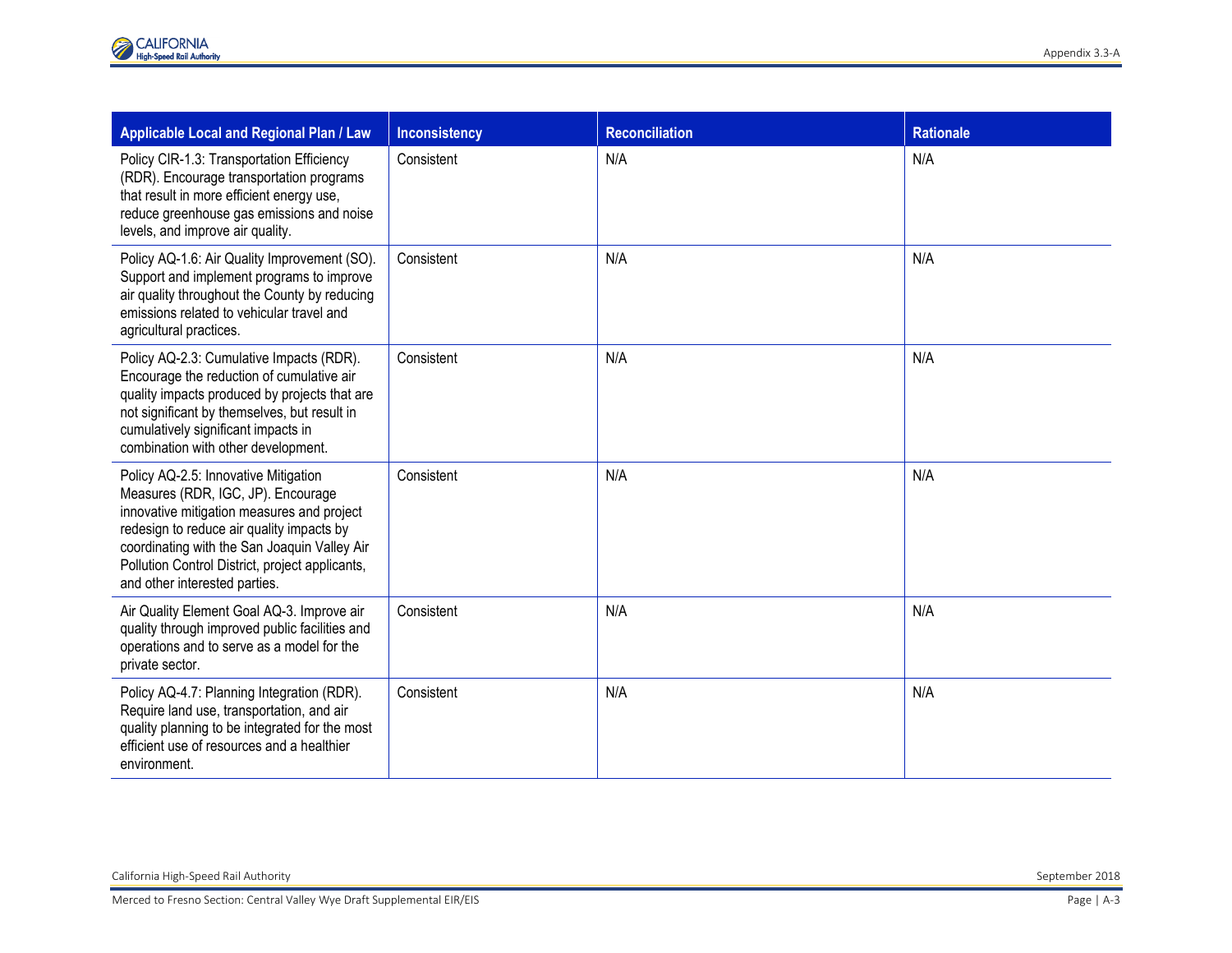| Applicable Local and Regional Plan / Law                                                                                                                                                                                                                                                                  | <b>Inconsistency</b> | <b>Reconciliation</b> | <b>Rationale</b> |
|-----------------------------------------------------------------------------------------------------------------------------------------------------------------------------------------------------------------------------------------------------------------------------------------------------------|----------------------|-----------------------|------------------|
| Policy CIR-1.3: Transportation Efficiency<br>(RDR). Encourage transportation programs<br>that result in more efficient energy use,<br>reduce greenhouse gas emissions and noise<br>levels, and improve air quality.                                                                                       | Consistent           | N/A                   | N/A              |
| Policy AQ-1.6: Air Quality Improvement (SO).<br>Support and implement programs to improve<br>air quality throughout the County by reducing<br>emissions related to vehicular travel and<br>agricultural practices.                                                                                        | Consistent           | N/A                   | N/A              |
| Policy AQ-2.3: Cumulative Impacts (RDR).<br>Encourage the reduction of cumulative air<br>quality impacts produced by projects that are<br>not significant by themselves, but result in<br>cumulatively significant impacts in<br>combination with other development.                                      | Consistent           | N/A                   | N/A              |
| Policy AQ-2.5: Innovative Mitigation<br>Measures (RDR, IGC, JP). Encourage<br>innovative mitigation measures and project<br>redesign to reduce air quality impacts by<br>coordinating with the San Joaquin Valley Air<br>Pollution Control District, project applicants,<br>and other interested parties. | Consistent           | N/A                   | N/A              |
| Air Quality Element Goal AQ-3. Improve air<br>quality through improved public facilities and<br>operations and to serve as a model for the<br>private sector.                                                                                                                                             | Consistent           | N/A                   | N/A              |
| Policy AQ-4.7: Planning Integration (RDR).<br>Require land use, transportation, and air<br>quality planning to be integrated for the most<br>efficient use of resources and a healthier<br>environment.                                                                                                   | Consistent           | N/A                   | N/A              |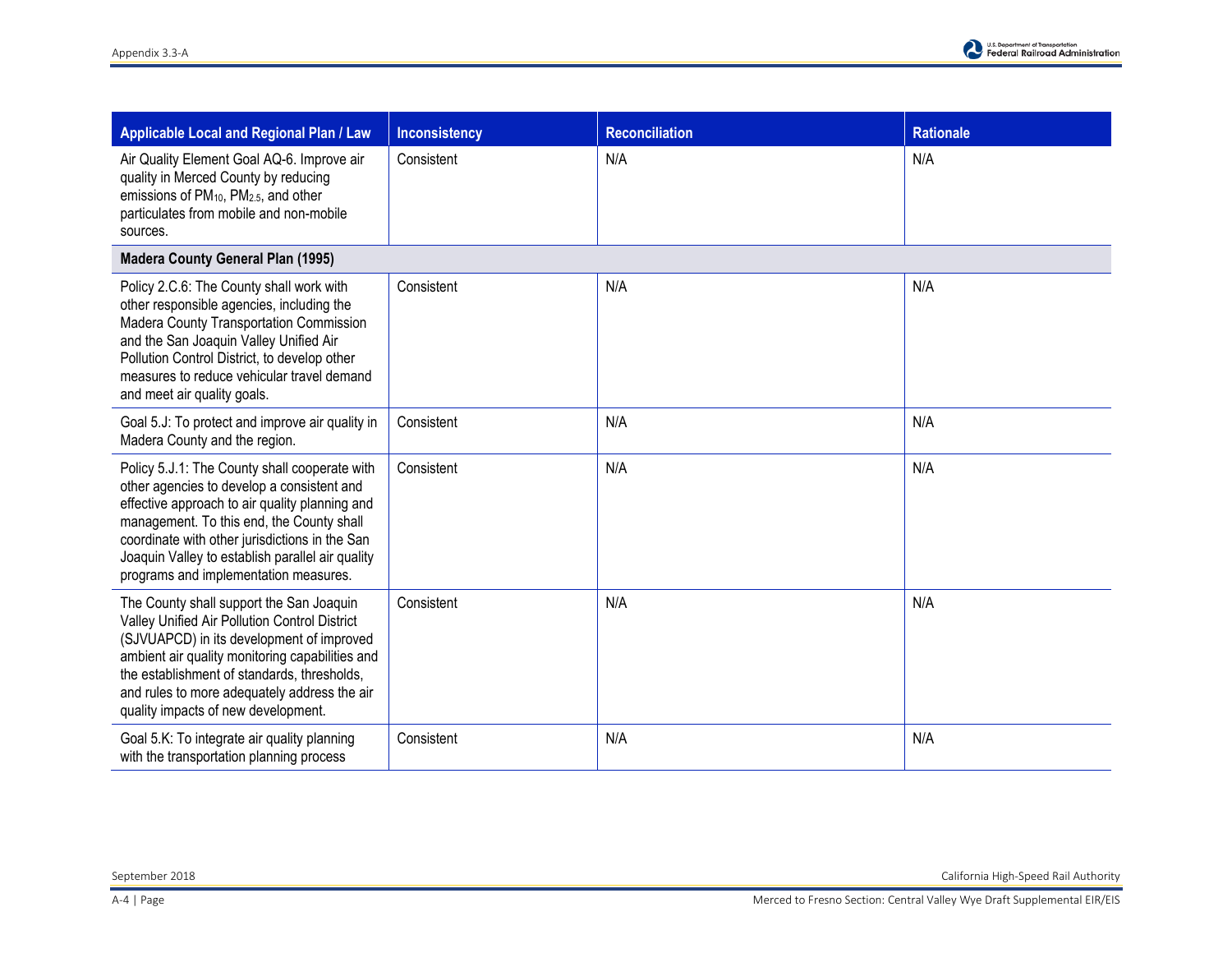| <b>Applicable Local and Regional Plan / Law</b>                                                                                                                                                                                                                                                                                           | <b>Inconsistency</b> | <b>Reconciliation</b> | <b>Rationale</b> |
|-------------------------------------------------------------------------------------------------------------------------------------------------------------------------------------------------------------------------------------------------------------------------------------------------------------------------------------------|----------------------|-----------------------|------------------|
| Air Quality Element Goal AQ-6. Improve air<br>quality in Merced County by reducing<br>emissions of PM <sub>10</sub> , PM <sub>2.5</sub> , and other<br>particulates from mobile and non-mobile<br>sources.                                                                                                                                | Consistent           | N/A                   | N/A              |
| <b>Madera County General Plan (1995)</b>                                                                                                                                                                                                                                                                                                  |                      |                       |                  |
| Policy 2.C.6: The County shall work with<br>other responsible agencies, including the<br>Madera County Transportation Commission<br>and the San Joaquin Valley Unified Air<br>Pollution Control District, to develop other<br>measures to reduce vehicular travel demand<br>and meet air quality goals.                                   | Consistent           | N/A                   | N/A              |
| Goal 5.J: To protect and improve air quality in<br>Madera County and the region.                                                                                                                                                                                                                                                          | Consistent           | N/A                   | N/A              |
| Policy 5.J.1: The County shall cooperate with<br>other agencies to develop a consistent and<br>effective approach to air quality planning and<br>management. To this end, the County shall<br>coordinate with other jurisdictions in the San<br>Joaquin Valley to establish parallel air quality<br>programs and implementation measures. | Consistent           | N/A                   | N/A              |
| The County shall support the San Joaquin<br>Valley Unified Air Pollution Control District<br>(SJVUAPCD) in its development of improved<br>ambient air quality monitoring capabilities and<br>the establishment of standards, thresholds,<br>and rules to more adequately address the air<br>quality impacts of new development.           | Consistent           | N/A                   | N/A              |
| Goal 5.K: To integrate air quality planning<br>with the transportation planning process                                                                                                                                                                                                                                                   | Consistent           | N/A                   | N/A              |

September 2018 California High-Speed Rail Authority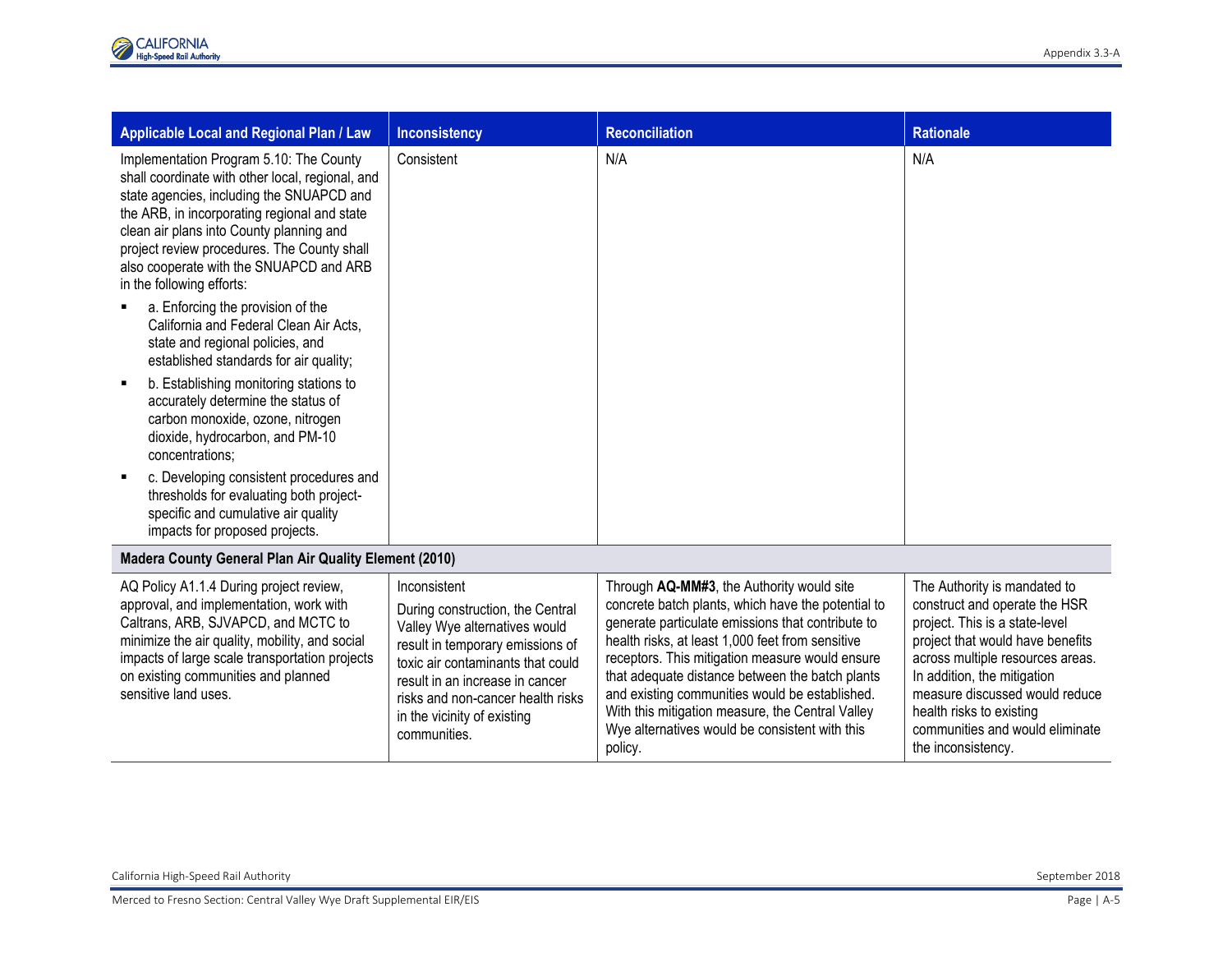| Applicable Local and Regional Plan / Law                                                                                                                                                                                                                                                                                                                                                                                                                                                                                                                                                                                                                                                                                                                                                                                                                          | <b>Inconsistency</b>                                                                                                                                                                                                                                                              | <b>Reconciliation</b>                                                                                                                                                                                                                                                                                                                                                                                                                                                             | <b>Rationale</b>                                                                                                                                                                                                                                                                                                              |
|-------------------------------------------------------------------------------------------------------------------------------------------------------------------------------------------------------------------------------------------------------------------------------------------------------------------------------------------------------------------------------------------------------------------------------------------------------------------------------------------------------------------------------------------------------------------------------------------------------------------------------------------------------------------------------------------------------------------------------------------------------------------------------------------------------------------------------------------------------------------|-----------------------------------------------------------------------------------------------------------------------------------------------------------------------------------------------------------------------------------------------------------------------------------|-----------------------------------------------------------------------------------------------------------------------------------------------------------------------------------------------------------------------------------------------------------------------------------------------------------------------------------------------------------------------------------------------------------------------------------------------------------------------------------|-------------------------------------------------------------------------------------------------------------------------------------------------------------------------------------------------------------------------------------------------------------------------------------------------------------------------------|
| Implementation Program 5.10: The County<br>shall coordinate with other local, regional, and<br>state agencies, including the SNUAPCD and<br>the ARB, in incorporating regional and state<br>clean air plans into County planning and<br>project review procedures. The County shall<br>also cooperate with the SNUAPCD and ARB<br>in the following efforts:<br>a. Enforcing the provision of the<br>California and Federal Clean Air Acts,<br>state and regional policies, and<br>established standards for air quality;<br>b. Establishing monitoring stations to<br>accurately determine the status of<br>carbon monoxide, ozone, nitrogen<br>dioxide, hydrocarbon, and PM-10<br>concentrations:<br>c. Developing consistent procedures and<br>thresholds for evaluating both project-<br>specific and cumulative air quality<br>impacts for proposed projects. | Consistent                                                                                                                                                                                                                                                                        | N/A                                                                                                                                                                                                                                                                                                                                                                                                                                                                               | N/A                                                                                                                                                                                                                                                                                                                           |
| Madera County General Plan Air Quality Element (2010)                                                                                                                                                                                                                                                                                                                                                                                                                                                                                                                                                                                                                                                                                                                                                                                                             |                                                                                                                                                                                                                                                                                   |                                                                                                                                                                                                                                                                                                                                                                                                                                                                                   |                                                                                                                                                                                                                                                                                                                               |
| AQ Policy A1.1.4 During project review,<br>approval, and implementation, work with<br>Caltrans, ARB, SJVAPCD, and MCTC to<br>minimize the air quality, mobility, and social<br>impacts of large scale transportation projects<br>on existing communities and planned<br>sensitive land uses.                                                                                                                                                                                                                                                                                                                                                                                                                                                                                                                                                                      | Inconsistent<br>During construction, the Central<br>Valley Wye alternatives would<br>result in temporary emissions of<br>toxic air contaminants that could<br>result in an increase in cancer<br>risks and non-cancer health risks<br>in the vicinity of existing<br>communities. | Through AQ-MM#3, the Authority would site<br>concrete batch plants, which have the potential to<br>generate particulate emissions that contribute to<br>health risks, at least 1,000 feet from sensitive<br>receptors. This mitigation measure would ensure<br>that adequate distance between the batch plants<br>and existing communities would be established.<br>With this mitigation measure, the Central Valley<br>Wye alternatives would be consistent with this<br>policy. | The Authority is mandated to<br>construct and operate the HSR<br>project. This is a state-level<br>project that would have benefits<br>across multiple resources areas.<br>In addition, the mitigation<br>measure discussed would reduce<br>health risks to existing<br>communities and would eliminate<br>the inconsistency. |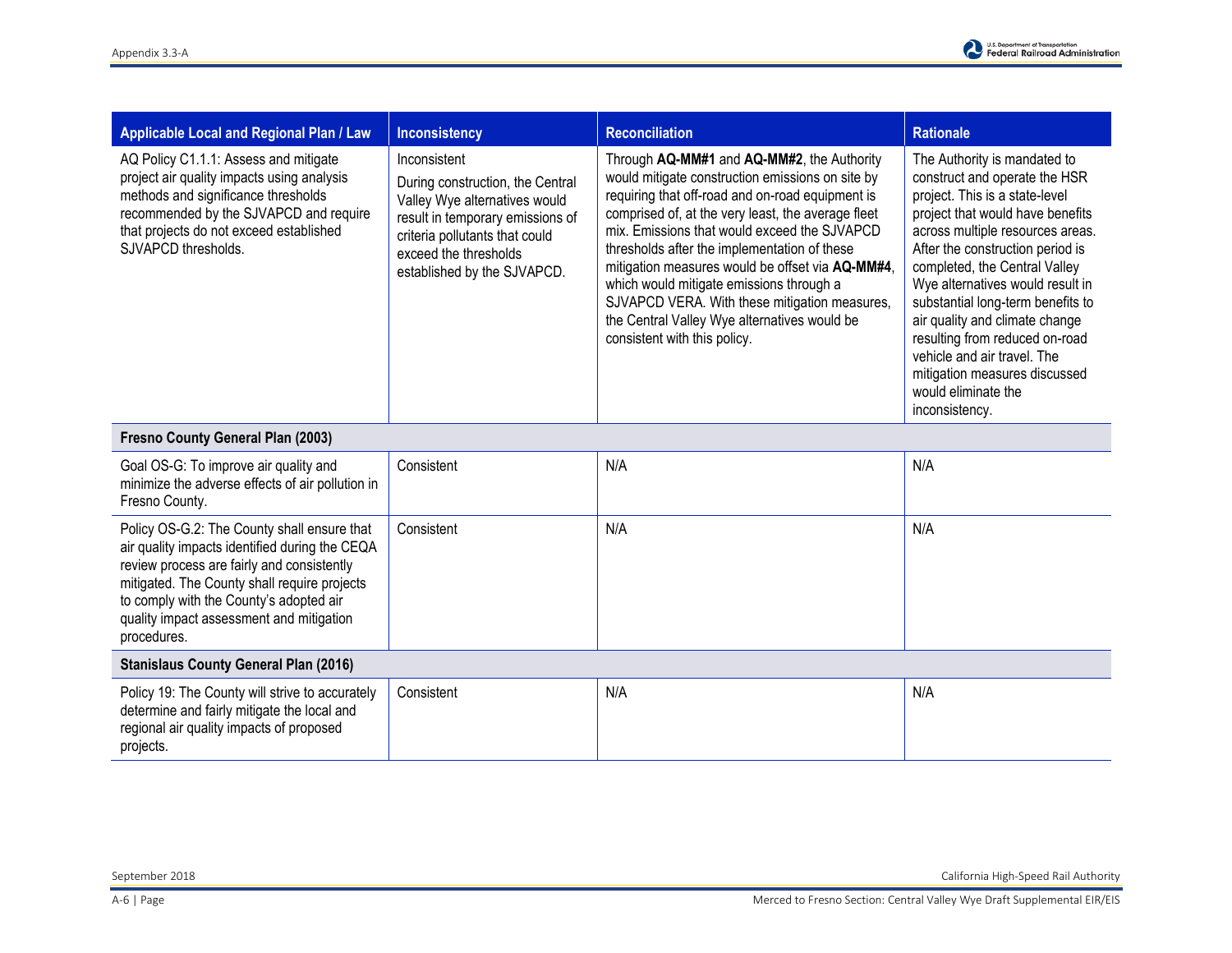| Applicable Local and Regional Plan / Law                                                                                                                                                                                               | <b>Inconsistency</b>                                                                                                                                                                                            | <b>Reconciliation</b>                                                                                                                                                                                                                                                                                                                                                                                                                                                                                                                     | <b>Rationale</b>                                                                                                                                                                                                                                                                                                                                                                                                                                                                                   |
|----------------------------------------------------------------------------------------------------------------------------------------------------------------------------------------------------------------------------------------|-----------------------------------------------------------------------------------------------------------------------------------------------------------------------------------------------------------------|-------------------------------------------------------------------------------------------------------------------------------------------------------------------------------------------------------------------------------------------------------------------------------------------------------------------------------------------------------------------------------------------------------------------------------------------------------------------------------------------------------------------------------------------|----------------------------------------------------------------------------------------------------------------------------------------------------------------------------------------------------------------------------------------------------------------------------------------------------------------------------------------------------------------------------------------------------------------------------------------------------------------------------------------------------|
| AQ Policy C1.1.1: Assess and mitigate<br>project air quality impacts using analysis<br>methods and significance thresholds<br>recommended by the SJVAPCD and require<br>that projects do not exceed established<br>SJVAPCD thresholds. | Inconsistent<br>During construction, the Central<br>Valley Wye alternatives would<br>result in temporary emissions of<br>criteria pollutants that could<br>exceed the thresholds<br>established by the SJVAPCD. | Through AQ-MM#1 and AQ-MM#2, the Authority<br>would mitigate construction emissions on site by<br>requiring that off-road and on-road equipment is<br>comprised of, at the very least, the average fleet<br>mix. Emissions that would exceed the SJVAPCD<br>thresholds after the implementation of these<br>mitigation measures would be offset via AQ-MM#4,<br>which would mitigate emissions through a<br>SJVAPCD VERA. With these mitigation measures,<br>the Central Valley Wye alternatives would be<br>consistent with this policy. | The Authority is mandated to<br>construct and operate the HSR<br>project. This is a state-level<br>project that would have benefits<br>across multiple resources areas.<br>After the construction period is<br>completed, the Central Valley<br>Wye alternatives would result in<br>substantial long-term benefits to<br>air quality and climate change<br>resulting from reduced on-road<br>vehicle and air travel. The<br>mitigation measures discussed<br>would eliminate the<br>inconsistency. |

| Fresno County General Plan (2003)                                                                                                                                                                                                                                                                 |            |     |     |  |
|---------------------------------------------------------------------------------------------------------------------------------------------------------------------------------------------------------------------------------------------------------------------------------------------------|------------|-----|-----|--|
| Goal OS-G: To improve air quality and<br>minimize the adverse effects of air pollution in<br>Fresno County.                                                                                                                                                                                       | Consistent | N/A | N/A |  |
| Policy OS-G.2: The County shall ensure that<br>air quality impacts identified during the CEQA<br>review process are fairly and consistently<br>mitigated. The County shall require projects<br>to comply with the County's adopted air<br>quality impact assessment and mitigation<br>procedures. | Consistent | N/A | N/A |  |
| <b>Stanislaus County General Plan (2016)</b>                                                                                                                                                                                                                                                      |            |     |     |  |
| Policy 19: The County will strive to accurately<br>determine and fairly mitigate the local and<br>regional air quality impacts of proposed<br>projects.                                                                                                                                           | Consistent | N/A | N/A |  |

September 2018 California High-Speed Rail Authority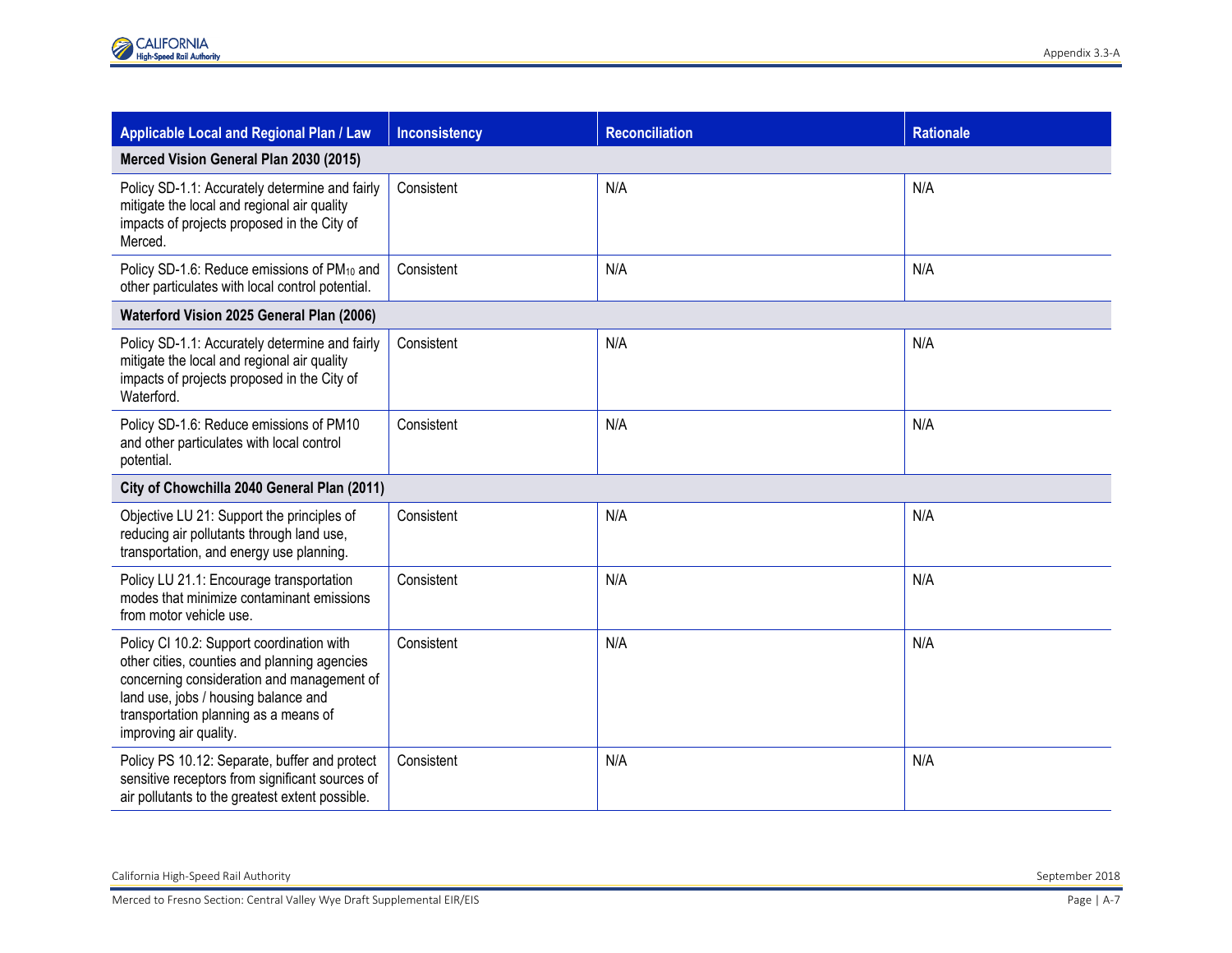| <b>Applicable Local and Regional Plan / Law</b>                                                                                                                                                                                                    | <b>Inconsistency</b> | <b>Reconciliation</b> | <b>Rationale</b> |
|----------------------------------------------------------------------------------------------------------------------------------------------------------------------------------------------------------------------------------------------------|----------------------|-----------------------|------------------|
| Merced Vision General Plan 2030 (2015)                                                                                                                                                                                                             |                      |                       |                  |
| Policy SD-1.1: Accurately determine and fairly<br>mitigate the local and regional air quality<br>impacts of projects proposed in the City of<br>Merced.                                                                                            | Consistent           | N/A                   | N/A              |
| Policy SD-1.6: Reduce emissions of PM <sub>10</sub> and<br>other particulates with local control potential.                                                                                                                                        | Consistent           | N/A                   | N/A              |
| Waterford Vision 2025 General Plan (2006)                                                                                                                                                                                                          |                      |                       |                  |
| Policy SD-1.1: Accurately determine and fairly<br>mitigate the local and regional air quality<br>impacts of projects proposed in the City of<br>Waterford.                                                                                         | Consistent           | N/A                   | N/A              |
| Policy SD-1.6: Reduce emissions of PM10<br>and other particulates with local control<br>potential.                                                                                                                                                 | Consistent           | N/A                   | N/A              |
| City of Chowchilla 2040 General Plan (2011)                                                                                                                                                                                                        |                      |                       |                  |
| Objective LU 21: Support the principles of<br>reducing air pollutants through land use,<br>transportation, and energy use planning.                                                                                                                | Consistent           | N/A                   | N/A              |
| Policy LU 21.1: Encourage transportation<br>modes that minimize contaminant emissions<br>from motor vehicle use.                                                                                                                                   | Consistent           | N/A                   | N/A              |
| Policy CI 10.2: Support coordination with<br>other cities, counties and planning agencies<br>concerning consideration and management of<br>land use, jobs / housing balance and<br>transportation planning as a means of<br>improving air quality. | Consistent           | N/A                   | N/A              |
| Policy PS 10.12: Separate, buffer and protect<br>sensitive receptors from significant sources of<br>air pollutants to the greatest extent possible.                                                                                                | Consistent           | N/A                   | N/A              |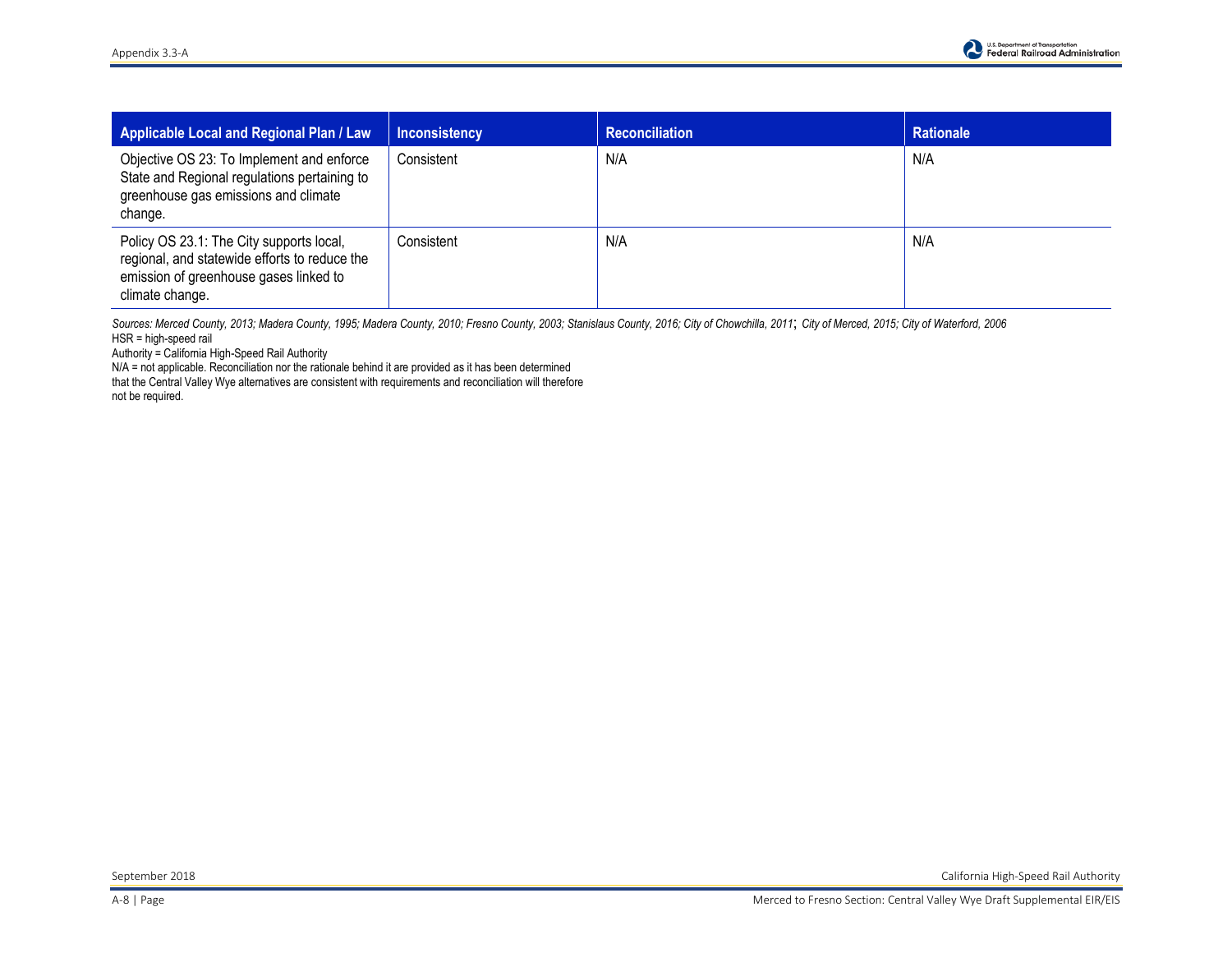| Applicable Local and Regional Plan / Law                                                                                                               | <b>Inconsistency</b> | <b>Reconciliation</b> | Rationale |
|--------------------------------------------------------------------------------------------------------------------------------------------------------|----------------------|-----------------------|-----------|
| Objective OS 23: To Implement and enforce<br>State and Regional regulations pertaining to<br>greenhouse gas emissions and climate<br>change.           | Consistent           | N/A                   | N/A       |
| Policy OS 23.1: The City supports local,<br>regional, and statewide efforts to reduce the<br>emission of greenhouse gases linked to<br>climate change. | Consistent           | N/A                   | N/A       |

*Sources: Merced County, 2013; Madera County, 1995; Madera County, 2010; Fresno County, 2003; Stanislaus County, 2016; City of Chowchilla, 2011*; *City of Merced, 2015; City of Waterford, 2006*  HSR = high-speed rail

Authority = California High-Speed Rail Authority

N/A = not applicable. Reconciliation nor the rationale behind it are provided as it has been determined that the Central Valley Wye alternatives are consistent with requirements and reconciliation will therefore not be required.